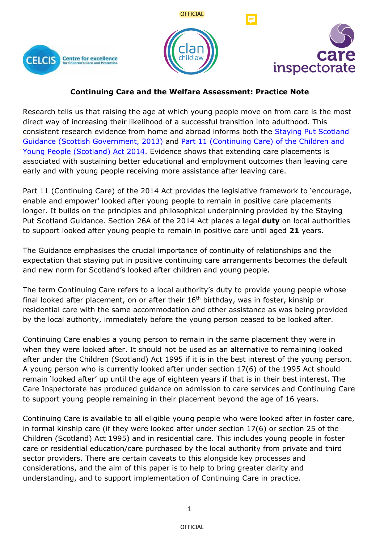





# **Continuing Care and the Welfare Assessment: Practice Note**

Research tells us that raising the age at which young people move on from care is the most direct way of increasing their likelihood of a successful transition into adulthood. This consistent research evidence from home and abroad informs both the [Staying Put Scotland](https://www.gov.scot/binaries/content/documents/govscot/publications/advice-and-guidance/2013/10/staying-put-scotland-providing-care-leavers-connectness-belonging/documents/00435935-pdf/00435935-pdf/govscot%3Adocument/00435935.pdf)  [Guidance \(Scottish Government, 2013\)](https://www.gov.scot/binaries/content/documents/govscot/publications/advice-and-guidance/2013/10/staying-put-scotland-providing-care-leavers-connectness-belonging/documents/00435935-pdf/00435935-pdf/govscot%3Adocument/00435935.pdf) and [Part 11 \(Continuing Care\) of the Children and](https://www.gov.scot/binaries/content/documents/govscot/publications/advice-and-guidance/2016/11/guidance-part-11-continuing-care-children-young-people-scotland-act/documents/00509205-pdf/00509205-pdf/govscot%3Adocument/00509205.pdf)  [Young People \(Scotland\) Act 2014.](https://www.gov.scot/binaries/content/documents/govscot/publications/advice-and-guidance/2016/11/guidance-part-11-continuing-care-children-young-people-scotland-act/documents/00509205-pdf/00509205-pdf/govscot%3Adocument/00509205.pdf) Evidence shows that extending care placements is associated with sustaining better educational and employment outcomes than leaving care early and with young people receiving more assistance after leaving care.

Part 11 (Continuing Care) of the 2014 Act provides the legislative framework to 'encourage, enable and empower' looked after young people to remain in positive care placements longer. It builds on the principles and philosophical underpinning provided by the Staying Put Scotland Guidance. Section 26A of the 2014 Act places a legal **duty** on local authorities to support looked after young people to remain in positive care until aged **21** years.

The Guidance emphasises the crucial importance of continuity of relationships and the expectation that staying put in positive continuing care arrangements becomes the default and new norm for Scotland's looked after children and young people.

The term Continuing Care refers to a local authority's duty to provide young people whose final looked after placement, on or after their 16<sup>th</sup> birthday, was in foster, kinship or residential care with the same accommodation and other assistance as was being provided by the local authority, immediately before the young person ceased to be looked after.

Continuing Care enables a young person to remain in the same placement they were in when they were looked after. It should not be used as an alternative to remaining looked after under the Children (Scotland) Act 1995 if it is in the best interest of the young person. A young person who is currently looked after under section 17(6) of the 1995 Act should remain 'looked after' up until the age of eighteen years if that is in their best interest. The Care Inspectorate has produced guidance on admission to care services and Continuing Care to support young people remaining in their placement beyond the age of 16 years.

Continuing Care is available to all eligible young people who were looked after in foster care, in formal kinship care (if they were looked after under section 17(6) or section 25 of the Children (Scotland) Act 1995) and in residential care. This includes young people in foster care or residential education/care purchased by the local authority from private and third sector providers. There are certain caveats to this alongside key processes and considerations, and the aim of this paper is to help to bring greater clarity and understanding, and to support implementation of Continuing Care in practice.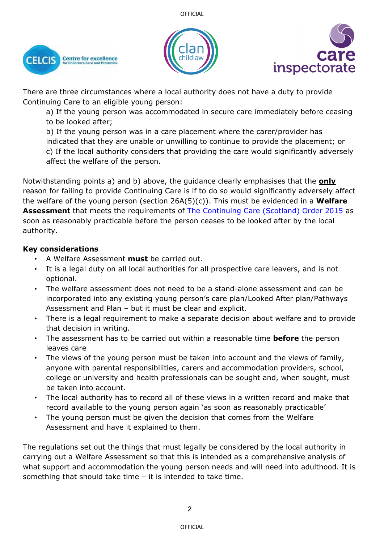





There are three circumstances where a local authority does not have a duty to provide Continuing Care to an eligible young person:

a) If the young person was accommodated in secure care immediately before ceasing to be looked after;

b) If the young person was in a care placement where the carer/provider has indicated that they are unable or unwilling to continue to provide the placement; or c) If the local authority considers that providing the care would significantly adversely affect the welfare of the person.

Notwithstanding points a) and b) above, the guidance clearly emphasises that the **only** reason for failing to provide Continuing Care is if to do so would significantly adversely affect the welfare of the young person (section 26A(5)(c)). This must be evidenced in a **Welfare Assessment** that meets the requirements of [The Continuing Care \(Scotland\) Order 2015](https://www.legislation.gov.uk/ssi/2015/158/contents/made) as soon as reasonably practicable before the person ceases to be looked after by the local authority.

### **Key considerations**

- A Welfare Assessment **must** be carried out.
- It is a legal duty on all local authorities for all prospective care leavers, and is not optional.
- The welfare assessment does not need to be a stand-alone assessment and can be incorporated into any existing young person's care plan/Looked After plan/Pathways Assessment and Plan – but it must be clear and explicit.
- There is a legal requirement to make a separate decision about welfare and to provide that decision in writing.
- The assessment has to be carried out within a reasonable time **before** the person leaves care
- The views of the young person must be taken into account and the views of family, anyone with parental responsibilities, carers and accommodation providers, school, college or university and health professionals can be sought and, when sought, must be taken into account.
- The local authority has to record all of these views in a written record and make that record available to the young person again 'as soon as reasonably practicable'
- The young person must be given the decision that comes from the Welfare Assessment and have it explained to them.

The regulations set out the things that must legally be considered by the local authority in carrying out a Welfare Assessment so that this is intended as a comprehensive analysis of what support and accommodation the young person needs and will need into adulthood. It is something that should take time – it is intended to take time.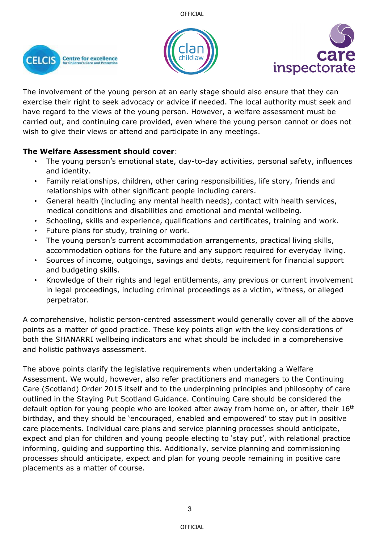





The involvement of the young person at an early stage should also ensure that they can exercise their right to seek advocacy or advice if needed. The local authority must seek and have regard to the views of the young person. However, a welfare assessment must be carried out, and continuing care provided, even where the young person cannot or does not wish to give their views or attend and participate in any meetings.

# **The Welfare Assessment should cover**:

- The young person's emotional state, day-to-day activities, personal safety, influences and identity.
- Family relationships, children, other caring responsibilities, life story, friends and relationships with other significant people including carers.
- General health (including any mental health needs), contact with health services, medical conditions and disabilities and emotional and mental wellbeing.
- Schooling, skills and experience, qualifications and certificates, training and work.
- Future plans for study, training or work.
- The young person's current accommodation arrangements, practical living skills, accommodation options for the future and any support required for everyday living.
- Sources of income, outgoings, savings and debts, requirement for financial support and budgeting skills.
- Knowledge of their rights and legal entitlements, any previous or current involvement in legal proceedings, including criminal proceedings as a victim, witness, or alleged perpetrator.

A comprehensive, holistic person-centred assessment would generally cover all of the above points as a matter of good practice. These key points align with the key considerations of both the SHANARRI wellbeing indicators and what should be included in a comprehensive and holistic pathways assessment.

The above points clarify the legislative requirements when undertaking a Welfare Assessment. We would, however, also refer practitioners and managers to the Continuing Care (Scotland) Order 2015 itself and to the underpinning principles and philosophy of care outlined in the Staying Put Scotland Guidance. Continuing Care should be considered the default option for young people who are looked after away from home on, or after, their  $16<sup>th</sup>$ birthday, and they should be 'encouraged, enabled and empowered' to stay put in positive care placements. Individual care plans and service planning processes should anticipate, expect and plan for children and young people electing to 'stay put', with relational practice informing, guiding and supporting this. Additionally, service planning and commissioning processes should anticipate, expect and plan for young people remaining in positive care placements as a matter of course.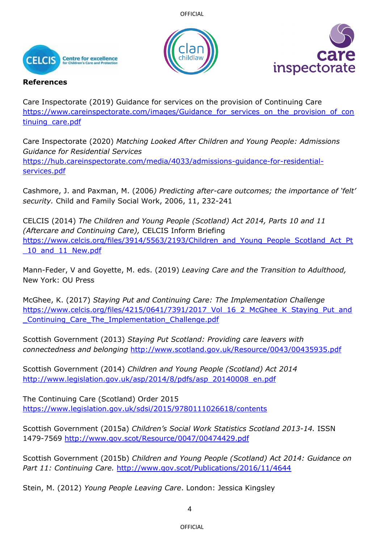**OFFICIAL** 







### **References**

Care Inspectorate (2019) Guidance for services on the provision of Continuing Care [https://www.careinspectorate.com/images/Guidance\\_for\\_services\\_on\\_the\\_provision\\_of\\_con](https://www.careinspectorate.com/images/Guidance_for_services_on_the_provision_of_continuing_care.pdf) [tinuing\\_care.pdf](https://www.careinspectorate.com/images/Guidance_for_services_on_the_provision_of_continuing_care.pdf)

Care Inspectorate (2020) *Matching Looked After Children and Young People: Admissions Guidance for Residential Services* [https://hub.careinspectorate.com/media/4033/admissions-guidance-for-residential](https://hub.careinspectorate.com/media/4033/admissions-guidance-for-residential-services.pdf)[services.pdf](https://hub.careinspectorate.com/media/4033/admissions-guidance-for-residential-services.pdf)

Cashmore, J. and Paxman, M. (2006*) Predicting after-care outcomes; the importance of 'felt' security.* Child and Family Social Work, 2006, 11, 232-241

CELCIS (2014) *The Children and Young People (Scotland) Act 2014, Parts 10 and 11 (Aftercare and Continuing Care),* CELCIS Inform Briefing [https://www.celcis.org/files/3914/5563/2193/Children\\_and\\_Young\\_People\\_Scotland\\_Act\\_Pt](https://www.celcis.org/files/3914/5563/2193/Children_and_Young_People_Scotland_Act_Pt_10_and_11_New.pdf) 10 and 11 New.pdf

Mann-Feder, V and Goyette, M. eds. (2019) *Leaving Care and the Transition to Adulthood,* New York: OU Press

McGhee, K. (2017) *Staying Put and Continuing Care: The Implementation Challenge* https://www.celcis.org/files/4215/0641/7391/2017 Vol\_16\_2\_McGhee\_K\_Staying\_Put\_and Continuing Care The Implementation Challenge.pdf

Scottish Government (2013) *Staying Put Scotland: Providing care leavers with connectedness and belonging* <http://www.scotland.gov.uk/Resource/0043/00435935.pdf>

Scottish Government (2014) *Children and Young People (Scotland) Act 2014* [http://www.legislation.gov.uk/asp/2014/8/pdfs/asp\\_20140008\\_en.pdf](http://www.legislation.gov.uk/asp/2014/8/pdfs/asp_20140008_en.pdf)

The Continuing Care (Scotland) Order 2015 <https://www.legislation.gov.uk/sdsi/2015/9780111026618/contents>

Scottish Government (2015a) *Children's Social Work Statistics Scotland 2013-14.* ISSN 1479-7569<http://www.gov.scot/Resource/0047/00474429.pdf>

Scottish Government (2015b) *Children and Young People (Scotland) Act 2014: Guidance on Part 11: Continuing Care.* <http://www.gov.scot/Publications/2016/11/4644>

Stein, M. (2012) *Young People Leaving Care*. London: Jessica Kingsley